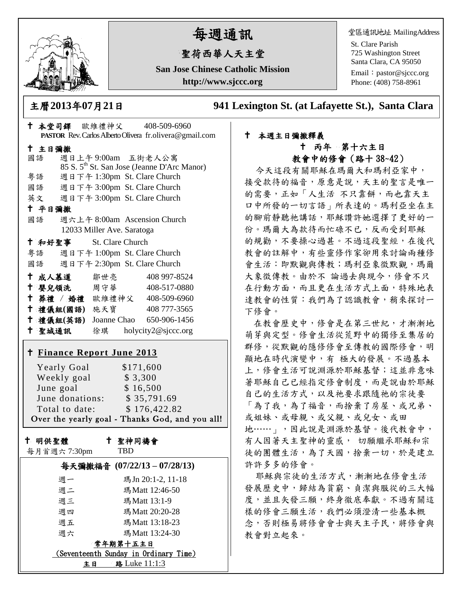

# 每週通訊

## 聖荷西華人天主堂

**San Jose Chinese Catholic Mission http://www.sjccc.org**

堂區通訊地址 MailingAddress

St. Clare Parish 725 Washington Street Santa Clara, CA 95050

Email: [pastor@sjccc.org](mailto:pastor@sjccc.org) Phone: (408) 758-8961

主曆**2013**年**07**月**21**日 **941 Lexington St. (at Lafayette St.), Santa Clara** 

|                                                 |                    |                            |            | † 本堂司鐸 歐維禮神父 408-509-6960                               |  |
|-------------------------------------------------|--------------------|----------------------------|------------|---------------------------------------------------------|--|
|                                                 |                    |                            |            | PASTOR Rev. Carlos Alberto Olivera fr.olivera@gmail.com |  |
| 十 主日彌撒                                          |                    |                            |            |                                                         |  |
| 國語                                              |                    |                            |            | 週日上午9:00am 五街老人公寓                                       |  |
|                                                 |                    |                            |            | 85 S. 5 <sup>th</sup> St. San Jose (Jeanne D'Arc Manor) |  |
| 粤語                                              |                    |                            |            | 週日下午 1:30pm St. Clare Church                            |  |
|                                                 |                    |                            |            | 國語 週日下午 3:00pm St. Clare Church                         |  |
|                                                 |                    |                            |            | 英文 週日下午 3:00pm St. Clare Church                         |  |
| 十 平日彌撒                                          |                    |                            |            |                                                         |  |
| 國語                                              |                    |                            |            | 週六上午 8:00am Ascension Church                            |  |
|                                                 |                    | 12033 Miller Ave. Saratoga |            |                                                         |  |
| + 和好聖事 St. Clare Church                         |                    |                            |            |                                                         |  |
|                                                 |                    |                            |            | 粤語 週日下午 1:00pm St. Clare Church                         |  |
| 國語                                              |                    |                            |            | 週日下午 2:30pm St. Clare Church                            |  |
| ← 成人慕道   鄒世亮                                    |                    |                            |            | 408 997-8524                                            |  |
|                                                 |                    |                            |            | † 嬰兒領洗 周守華 408-517-0880                                 |  |
|                                                 |                    |                            |            | + 葬禮 / 婚禮 歐維禮神父 408-509-6960                            |  |
|                                                 |                    |                            |            | † 禮儀組(國語) 施天寶 408777-3565                               |  |
|                                                 |                    |                            |            | † 禮儀組(英語) Joanne Chao 650-906-1456                      |  |
|                                                 |                    |                            |            | † 聖城通訊   徐琪 holycity2@sjccc.org                         |  |
|                                                 |                    |                            |            |                                                         |  |
| <u>† Finance Report June 2013</u>               |                    |                            |            |                                                         |  |
|                                                 |                    |                            |            |                                                         |  |
|                                                 | <b>Yearly Goal</b> |                            | \$171,600  |                                                         |  |
| Weekly goal<br>\$3,300                          |                    |                            |            |                                                         |  |
| June goal<br>\$16,500                           |                    |                            |            |                                                         |  |
| June donations: \$35,791.69                     |                    |                            |            |                                                         |  |
| Total to date:<br>\$176,422.82                  |                    |                            |            |                                                         |  |
| Over the yearly goal - Thanks God, and you all! |                    |                            |            |                                                         |  |
|                                                 |                    |                            |            |                                                         |  |
| 十 聖神同禱會<br>十 明供聖體                               |                    |                            |            |                                                         |  |
| 每月首週六7:30pm                                     |                    |                            | <b>TBD</b> |                                                         |  |

|                                       | 每天彌撒福音 (07/22/13-07/28/13) |  |  |  |  |
|---------------------------------------|----------------------------|--|--|--|--|
| 週一                                    | 瑪Jn 20:1-2, 11-18          |  |  |  |  |
| 週二                                    | 瑪Matt 12:46-50             |  |  |  |  |
| 週三                                    | 瑪Matt 13:1-9               |  |  |  |  |
| 週四                                    | 瑪Matt 20:20-28             |  |  |  |  |
| 週五                                    | 瑪Matt 13:18-23             |  |  |  |  |
| 週六                                    | 瑪Matt 13:24-30             |  |  |  |  |
| 常年期第十五主日                              |                            |  |  |  |  |
| (Seventeenth Sunday in Ordinary Time) |                            |  |  |  |  |
| ŧΒ                                    | 路 Luke 11:1:3              |  |  |  |  |

#### 本週主日彌撒釋義 丙年 第十六主日 教會中的修會(路十 38~42)

今天這段有關耶穌在瑪爾大和瑪利亞家中, 接受款待的福音,原意是說,天主的聖言是唯一 的需要,正如「人生活 不只靠餅,而也靠天主 口中所發的一切言語」所表達的。瑪利亞坐在主 的腳前靜聽祂講話,耶穌讚許她選擇了更好的一 份。瑪爾大為款待而忙碌不已,反而受到耶穌 的規勸,不要操心過甚。不過這段聖經,在後代 教會的註解中,有些靈修作家卻用來討論兩種修 會生活:即默觀與傳教;瑪利亞象徵默觀,瑪爾 大象徵傳教。由於不 論過去與現今,修會不只 在行動方面,而且更在生活方式上面,特殊地表 達教會的性質:我們為了認識教會,稍來探討一 下修會。

在教會歷史中,修會是在第三世紀,才漸漸地 萌芽與定型。修會生活從荒野中的獨修至集居的 群修,從默觀的隱修修會至傳教的國際修會,明 顯地在時代演變中,有極大的發展。不過基本 上,修會生活可說淵源於耶穌基督;這並非意味 著耶穌自己已經指定修會制度,而是說由於耶穌 自己的生活方式,以及祂要求跟隨祂的宗徒要 「為了我,為了福音,而捨棄了房屋、或兄弟、 或姐妹、或母親、或父親、或兒女、或田 地……」,因此說是淵源於基督。後代教會中, 有人因著天主聖神的靈感, 切願繼承耶穌和宗 徒的團體生活,為了天國,捨棄一切,於是建立 許許多多的修會。

耶穌與宗徒的生活方式,漸漸地在修會生活 發展歷史中,歸結為貧窮、貞潔與服從的三大幅 度,並且矢發三願,終身徹底奉獻。不過有關這 樣的修會三願生活,我們必須澄清一些基本概 念,否則極易將修會會士與天主子民,將修會與 教會對立起來。